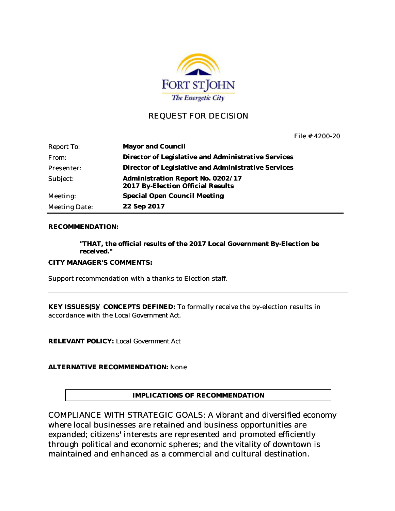

### REQUEST FOR DECISION

File # 4200-20

| <b>Report To:</b>    | Mayor and Council                                                      |
|----------------------|------------------------------------------------------------------------|
| From:                | Director of Legislative and Administrative Services                    |
| Presenter:           | Director of Legislative and Administrative Services                    |
| Subject:             | Administration Report No. 0202/17<br>2017 By-Election Official Results |
| Meeting:             | Special Open Council Meeting                                           |
| <b>Meeting Date:</b> | 22 Sep 2017                                                            |

#### **RECOMMENDATION:**

**"THAT, the official results of the 2017 Local Government By-Election be received."**

**CITY MANAGER'S COMMENTS:**

Support recommendation with a thanks to Election staff.

**KEY ISSUES(S)/ CONCEPTS DEFINED:** To formally receive the by-election results in accordance with the *Local Government Act.*

**RELEVANT POLICY:** *Local Government Act*

**ALTERNATIVE RECOMMENDATION:** None

**IMPLICATIONS OF RECOMMENDATION**

COMPLIANCE WITH STRATEGIC GOALS: A vibrant and diversified economy where local businesses are retained and business opportunities are expanded; citizens' interests are represented and promoted efficiently through political and economic spheres; and the vitality of downtown is maintained and enhanced as a commercial and cultural destination.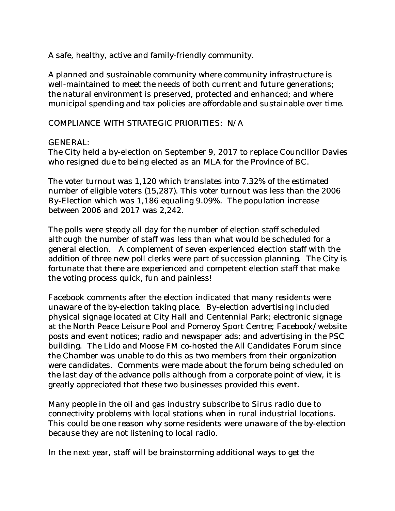A safe, healthy, active and family-friendly community.

A planned and sustainable community where community infrastructure is well-maintained to meet the needs of both current and future generations; the natural environment is preserved, protected and enhanced; and where municipal spending and tax policies are affordable and sustainable over time.

#### COMPLIANCE WITH STRATEGIC PRIORITIES: N/A

#### GENERAL:

The City held a by-election on September 9, 2017 to replace Councillor Davies who resigned due to being elected as an MLA for the Province of BC.

The voter turnout was 1,120 which translates into 7.32% of the estimated number of eligible voters (15,287). This voter turnout was less than the 2006 By-Election which was 1,186 equaling 9.09%. The population increase between 2006 and 2017 was 2,242.

The polls were steady all day for the number of election staff scheduled although the number of staff was less than what would be scheduled for a general election. A complement of seven experienced election staff with the addition of three new poll clerks were part of succession planning. The City is fortunate that there are experienced and competent election staff that make the voting process quick, fun and painless!

Facebook comments after the election indicated that many residents were unaware of the by-election taking place. By-election advertising included physical signage located at City Hall and Centennial Park; electronic signage at the North Peace Leisure Pool and Pomeroy Sport Centre; Facebook/website posts and event notices; radio and newspaper ads; and advertising in the PSC building. The Lido and Moose FM co-hosted the All Candidates Forum since the Chamber was unable to do this as two members from their organization were candidates. Comments were made about the forum being scheduled on the last day of the advance polls although from a corporate point of view, it is greatly appreciated that these two businesses provided this event.

Many people in the oil and gas industry subscribe to Sirus radio due to connectivity problems with local stations when in rural industrial locations. This could be one reason why some residents were unaware of the by-election because they are not listening to local radio.

In the next year, staff will be brainstorming additional ways to get the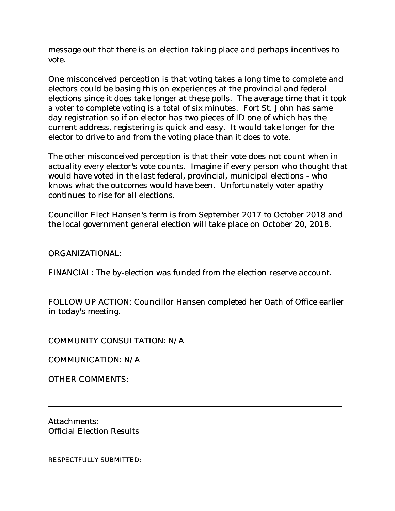message out that there is an election taking place and perhaps incentives to vote.

One misconceived perception is that voting takes a long time to complete and electors could be basing this on experiences at the provincial and federal elections since it does take longer at these polls. The average time that it took a voter to complete voting is a total of six minutes. Fort St. John has same day registration so if an elector has two pieces of ID one of which has the current address, registering is quick and easy. It would take longer for the elector to drive to and from the voting place than it does to vote.

The other misconceived perception is that their vote does not count when in actuality every elector's vote counts. Imagine if every person who thought that would have voted in the last federal, provincial, municipal elections - who knows what the outcomes would have been. Unfortunately voter apathy continues to rise for all elections.

Councillor Elect Hansen's term is from September 2017 to October 2018 and the local government general election will take place on October 20, 2018.

ORGANIZATIONAL:

FINANCIAL: The by-election was funded from the election reserve account.

FOLLOW UP ACTION: Councillor Hansen completed her Oath of Office earlier in today's meeting.

COMMUNITY CONSULTATION: N/A

COMMUNICATION: N/A

OTHER COMMENTS:

Attachments: Official Election Results

RESPECTFULLY SUBMITTED: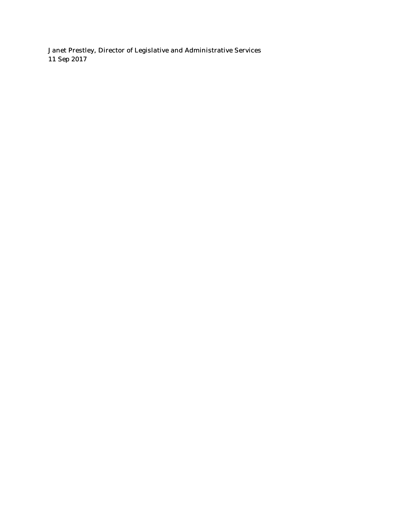Janet Prestley, Director of Legislative and Administrative Services 11 Sep 2017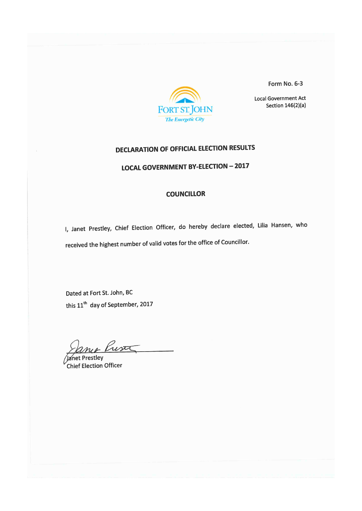

Form No. 6-3

**Local Government Act** Section  $146(2)(a)$ 

# DECLARATION OF OFFICIAL ELECTION RESULTS

LOCAL GOVERNMENT BY-ELECTION - 2017

#### COUNCILLOR

I, Janet Prestley, Chief Election Officer, do hereby declare elected, Lilia Hansen, who received the highest number of valid votes for the office of Councillor.

Dated at Fort St. John, BC this 11<sup>th</sup> day of September, 2017

ance Rusa

Janet Prestley Chief Election Officer